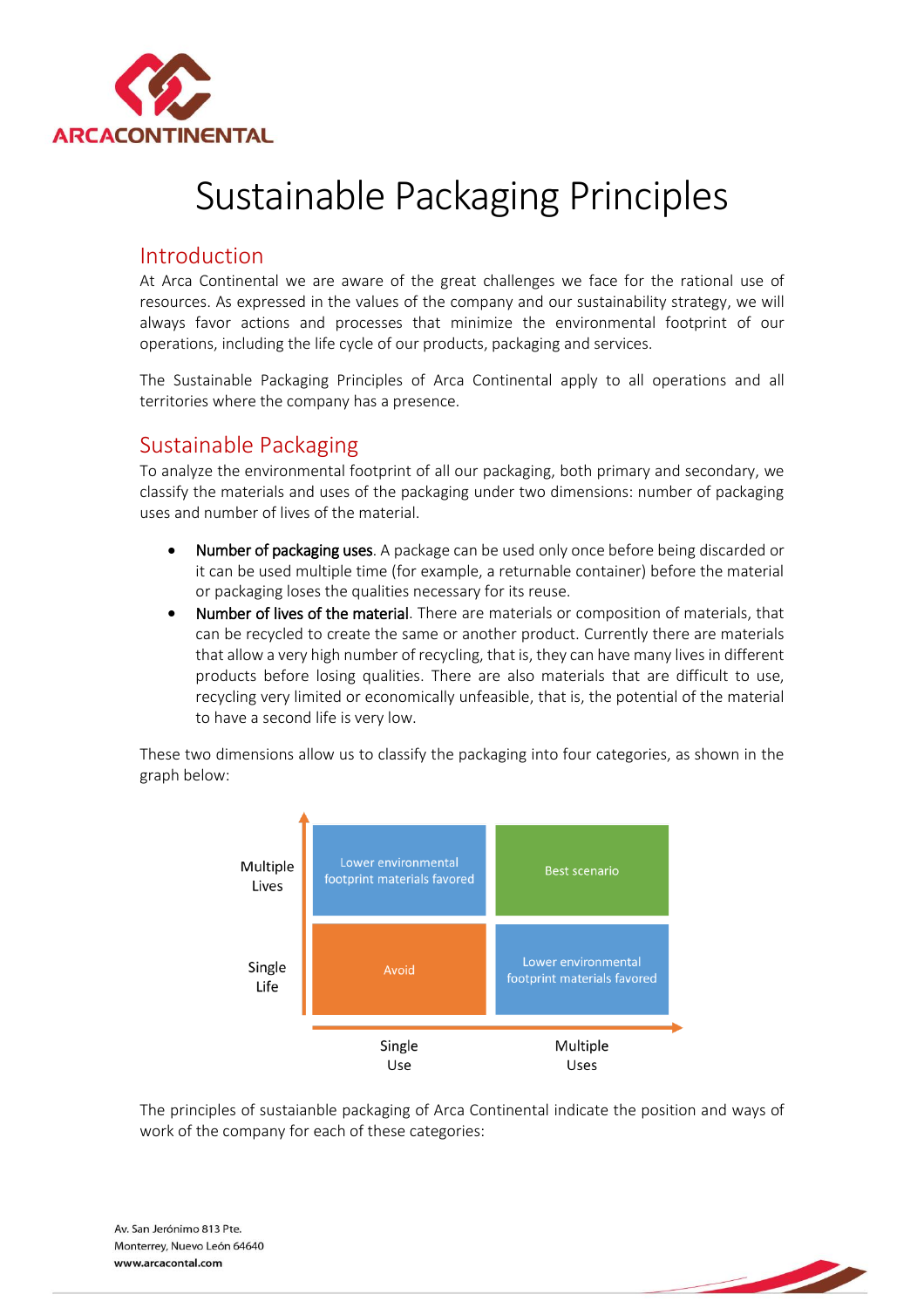

## Sustainable Packaging Principles

## Introduction

At Arca Continental we are aware of the great challenges we face for the rational use of resources. As expressed in the values of the company and our sustainability strategy, we will always favor actions and processes that minimize the environmental footprint of our operations, including the life cycle of our products, packaging and services.

The Sustainable Packaging Principles of Arca Continental apply to all operations and all territories where the company has a presence.

## Sustainable Packaging

To analyze the environmental footprint of all our packaging, both primary and secondary, we classify the materials and uses of the packaging under two dimensions: number of packaging uses and number of lives of the material.

- Number of packaging uses. A package can be used only once before being discarded or it can be used multiple time (for example, a returnable container) before the material or packaging loses the qualities necessary for its reuse.
- Number of lives of the material. There are materials or composition of materials, that can be recycled to create the same or another product. Currently there are materials that allow a very high number of recycling, that is, they can have many lives in different products before losing qualities. There are also materials that are difficult to use, recycling very limited or economically unfeasible, that is, the potential of the material to have a second life is very low.

These two dimensions allow us to classify the packaging into four categories, as shown in the graph below:



The principles of sustaianble packaging of Arca Continental indicate the position and ways of work of the company for each of these categories: